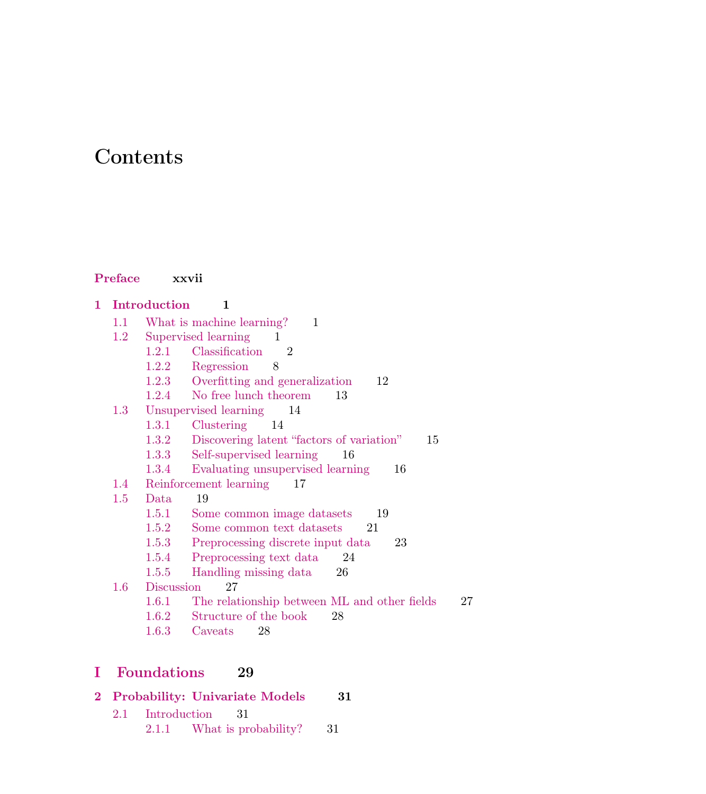# Contents

#### Preface xxvii

- 1 Introduction 1 1.1 What is machine learning? 1 1.2 Supervised learning 1 1.2.1 Classification 2 1.2.2 Regression 8 1.2.3 Overfitting and generalization 12 1.2.4 No free lunch theorem 13 1.3 Unsupervised learning 14 1.3.1 Clustering 14 1.3.2 Discovering latent "factors of variation" 15 1.3.3 Self-supervised learning 16 1.3.4 Evaluating unsupervised learning 16 1.4 Reinforcement learning 17 1.5 Data 19 1.5.1 Some common image datasets 19 1.5.2 Some common text datasets 21 1.5.3 Preprocessing discrete input data 23 1.5.4 Preprocessing text data 24 1.5.5 Handling missing data 26 1.6 Discussion 27 1.6.1 The relationship between ML and other fields 27 1.6.2 Structure of the book 28
	- 1.6.3 Caveats 28

## I Foundations 29

|  |                     | 2 Probability: Univariate Models | -31 |
|--|---------------------|----------------------------------|-----|
|  | 2.1 Introduction 31 |                                  |     |

2.1.1 What is probability? 31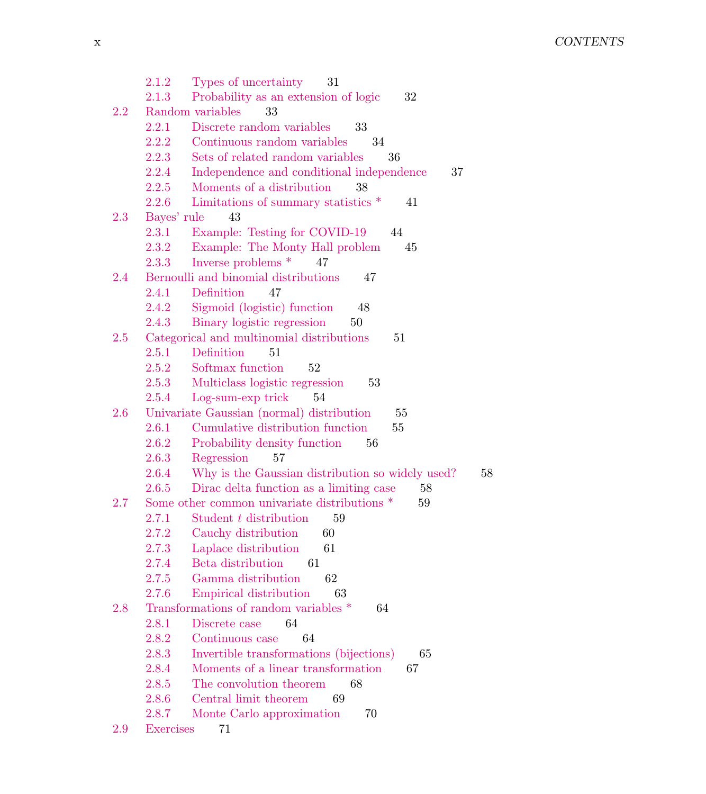2.1.2 Types of uncertainty 31 2.1.3 Probability as an extension of logic 32 2.2 Random variables 33 2.2.1 Discrete random variables 33 2.2.2 Continuous random variables 34 2.2.3 Sets of related random variables 36 2.2.4 Independence and conditional independence 37 2.2.5 Moments of a distribution 38 2.2.6 Limitations of summary statistics  $*$  41 2.3 Bayes' rule 43 2.3.1 Example: Testing for COVID-19 44 2.3.2 Example: The Monty Hall problem 45 2.3.3 Inverse problems \* 47 2.4 Bernoulli and binomial distributions 47 2.4.1 Definition 47 2.4.2 Sigmoid (logistic) function 48 2.4.3 Binary logistic regression 50 2.5 Categorical and multinomial distributions 51 2.5.1 Definition 51 2.5.2 Softmax function 52 2.5.3 Multiclass logistic regression 53 2.5.4 Log-sum-exp trick 54 2.6 Univariate Gaussian (normal) distribution 55 2.6.1 Cumulative distribution function 55 2.6.2 Probability density function 56 2.6.3 Regression 57 2.6.4 Why is the Gaussian distribution so widely used? 58 2.6.5 Dirac delta function as a limiting case 58 2.7 Some other common univariate distributions  $*$  59 2.7.1 Student t distribution 59 2.7.2 Cauchy distribution 60 2.7.3 Laplace distribution 61 2.7.4 Beta distribution 61 2.7.5 Gamma distribution 62 2.7.6 Empirical distribution 63 2.8 Transformations of random variables  $*$  64 2.8.1 Discrete case 64 2.8.2 Continuous case 64 2.8.3 Invertible transformations (bijections) 65 2.8.4 Moments of a linear transformation 67 2.8.5 The convolution theorem 68 2.8.6 Central limit theorem 69 2.8.7 Monte Carlo approximation 70 2.9 Exercises 71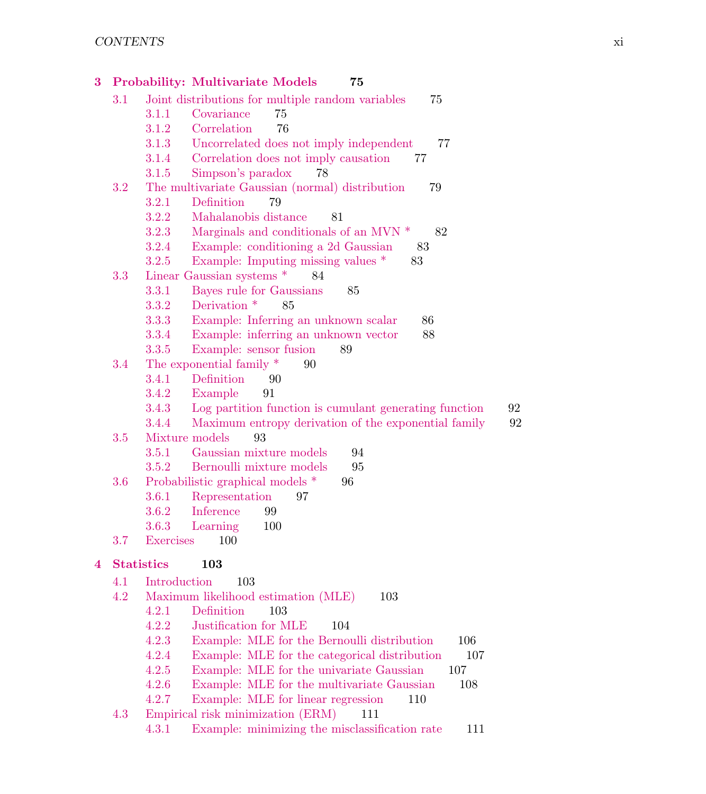| 3 |         |                   | <b>Probability: Multivariate Models</b><br>75                |
|---|---------|-------------------|--------------------------------------------------------------|
|   | 3.1     |                   | Joint distributions for multiple random variables<br>75      |
|   |         | 3.1.1             | 75<br>Covariance                                             |
|   |         | 3.1.2             | Correlation<br>76                                            |
|   |         | 3.1.3             | Uncorrelated does not imply independent<br>77                |
|   |         | 3.1.4             | Correlation does not imply causation<br>77                   |
|   |         | 3.1.5             | Simpson's paradox<br>78                                      |
|   | 3.2     |                   | The multivariate Gaussian (normal) distribution<br>79        |
|   |         | 3.2.1             | Definition<br>79                                             |
|   |         | 3.2.2             | Mahalanobis distance<br>81                                   |
|   |         | 3.2.3             | Marginals and conditionals of an MVN *<br>82                 |
|   |         | 3.2.4             | Example: conditioning a 2d Gaussian<br>83                    |
|   |         | 3.2.5             | Example: Imputing missing values *<br>83                     |
|   | 3.3     |                   | Linear Gaussian systems *<br>84                              |
|   |         | 3.3.1             | Bayes rule for Gaussians<br>85                               |
|   |         | 3.3.2             | Derivation *<br>85                                           |
|   |         | 3.3.3             | Example: Inferring an unknown scalar<br>86                   |
|   |         | 3.3.4             | Example: inferring an unknown vector<br>88                   |
|   |         | 3.3.5             | Example: sensor fusion<br>89                                 |
|   | 3.4     |                   | The exponential family *<br>90                               |
|   |         | 3.4.1             | Definition<br>90                                             |
|   |         | 3.4.2             | Example<br>91                                                |
|   |         | 3.4.3             | 92<br>Log partition function is cumulant generating function |
|   |         | 3.4.4             | 92<br>Maximum entropy derivation of the exponential family   |
|   | $3.5\,$ |                   | Mixture models<br>93                                         |
|   |         | 3.5.1             | Gaussian mixture models<br>94                                |
|   |         | 3.5.2             | Bernoulli mixture models<br>95                               |
|   | 3.6     |                   | Probabilistic graphical models *<br>96                       |
|   |         | 3.6.1             | Representation<br>97                                         |
|   |         | 3.6.2             | Inference<br>99                                              |
|   |         | 3.6.3             | Learning<br>100                                              |
|   | 3.7     | <b>Exercises</b>  | 100                                                          |
| 4 |         | <b>Statistics</b> | 103                                                          |
|   | 4.1     | Introduction      | 103                                                          |
|   | 4.2     |                   | Maximum likelihood estimation (MLE)<br>103                   |
|   |         | 4.2.1             | Definition<br>103                                            |
|   |         |                   | 4.2.2 Justification for MLE 104                              |
|   |         | 4.2.3             | Example: MLE for the Bernoulli distribution<br>106           |
|   |         | 4.2.4             | Example: MLE for the categorical distribution<br>107         |
|   |         | 4.2.5             | Example: MLE for the univariate Gaussian<br>107              |
|   |         | 4.2.6             | Example: MLE for the multivariate Gaussian<br>108            |
|   |         | 4.2.7             | Example: MLE for linear regression<br>110                    |
|   | 4.3     |                   | Empirical risk minimization (ERM)<br>111                     |
|   |         | 4.3.1             | Example: minimizing the misclassification rate<br>111        |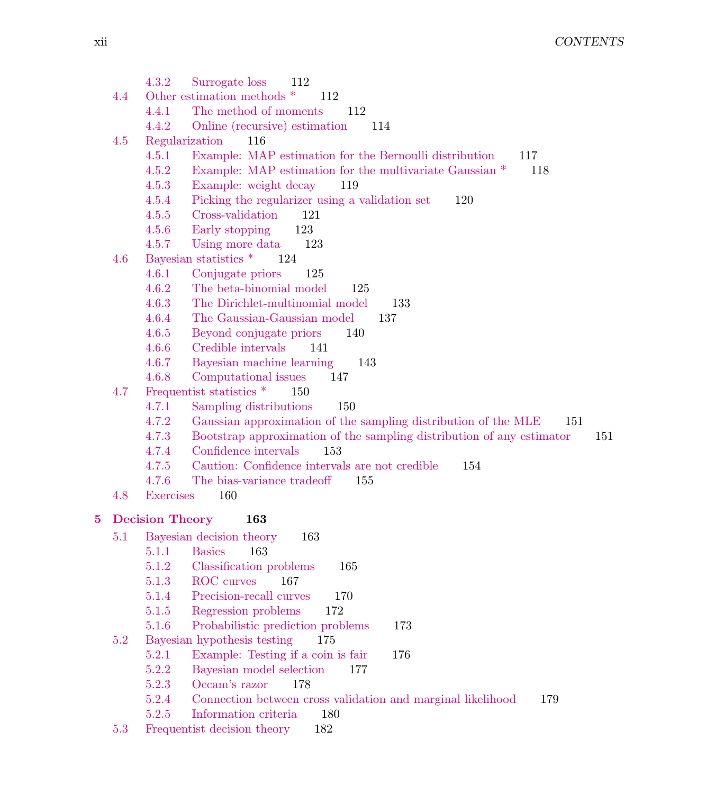|   |     | 4.3.2<br>Surrogate loss<br>112                                                        |
|---|-----|---------------------------------------------------------------------------------------|
|   | 4.4 | Other estimation methods *<br>112                                                     |
|   |     | 4.4.1<br>The method of moments<br>112                                                 |
|   |     | 4.4.2<br>Online (recursive) estimation<br>114                                         |
|   | 4.5 | Regularization<br>116                                                                 |
|   |     | 4.5.1<br>Example: MAP estimation for the Bernoulli distribution<br>117                |
|   |     | 4.5.2<br>Example: MAP estimation for the multivariate Gaussian $*$<br>118             |
|   |     | 4.5.3<br>Example: weight decay<br>119                                                 |
|   |     | Picking the regularizer using a validation set<br>4.5.4<br>120                        |
|   |     | 121<br>4.5.5<br>Cross-validation                                                      |
|   |     | 4.5.6<br>Early stopping<br>123                                                        |
|   |     | 4.5.7<br>Using more data<br>123                                                       |
|   | 4.6 | Bayesian statistics *<br>124                                                          |
|   |     | 4.6.1<br>Conjugate priors<br>125                                                      |
|   |     | 4.6.2<br>The beta-binomial model<br>125                                               |
|   |     | The Dirichlet-multinomial model<br>4.6.3<br>133                                       |
|   |     | The Gaussian-Gaussian model<br>4.6.4<br>137                                           |
|   |     | 4.6.5<br>Beyond conjugate priors<br>140                                               |
|   |     | Credible intervals<br>4.6.6<br>141                                                    |
|   |     | 4.6.7<br>Bayesian machine learning<br>143                                             |
|   |     | 4.6.8<br>Computational issues<br>147                                                  |
|   | 4.7 | Frequentist statistics *<br>150                                                       |
|   |     | Sampling distributions<br>4.7.1<br>150                                                |
|   |     | 4.7.2<br>Gaussian approximation of the sampling distribution of the MLE<br>151        |
|   |     | 4.7.3<br>Bootstrap approximation of the sampling distribution of any estimator<br>151 |
|   |     | Confidence intervals<br>4.7.4<br>153                                                  |
|   |     | 4.7.5<br>Caution: Confidence intervals are not credible<br>154                        |
|   |     | 4.7.6<br>The bias-variance tradeoff<br>155                                            |
|   | 4.8 | <b>Exercises</b><br>160                                                               |
| 5 |     | <b>Decision Theory</b><br>163                                                         |
|   | 5.1 | Bayesian decision theory<br>163                                                       |
|   |     | 5.1.1<br><b>Basics</b><br>163                                                         |
|   |     | 5.1.2<br>Classification problems<br>165                                               |
|   |     | 5.1.3<br>ROC curves<br>167                                                            |
|   |     | Precision-recall curves<br>5.1.4<br>170                                               |
|   |     | Regression problems<br>5.1.5<br>172                                                   |
|   |     | 5.1.6<br>Probabilistic prediction problems<br>173                                     |
|   | 5.2 | Bayesian hypothesis testing<br>175                                                    |
|   |     | 5.2.1<br>Example: Testing if a coin is fair<br>176                                    |
|   |     | 5.2.2<br>Bayesian model selection<br>177                                              |
|   |     | Occam's razor<br>5.2.3<br>178                                                         |
|   |     | Connection between cross validation and marginal likelihood<br>5.2.4<br>179           |
|   |     | Information criteria<br>5.2.5<br>180                                                  |
|   | 5.3 | Frequentist decision theory<br>182                                                    |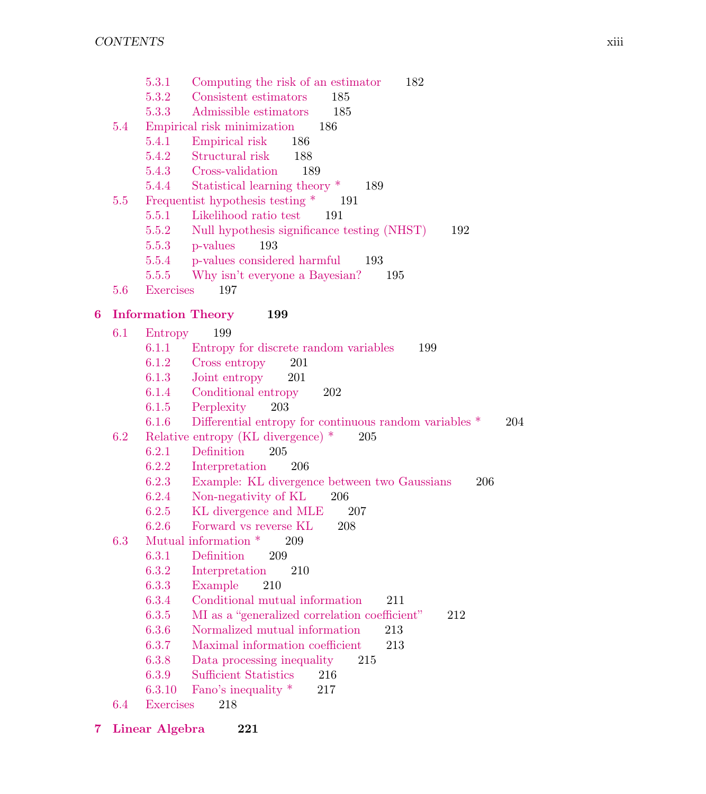5.3.1 Computing the risk of an estimator 182 5.3.2 Consistent estimators 185 5.3.3 Admissible estimators 185 5.4 Empirical risk minimization 186 5.4.1 Empirical risk 186 5.4.2 Structural risk 188 5.4.3 Cross-validation 189 5.4.4 Statistical learning theory \* 189 5.5 Frequentist hypothesis testing \* 191 5.5.1 Likelihood ratio test 191 5.5.2 Null hypothesis significance testing (NHST) 192 5.5.3 p-values 193 5.5.4 p-values considered harmful 193 5.5.5 Why isn't everyone a Bayesian? 195 5.6 Exercises 197 6 Information Theory 199 6.1 Entropy 199 6.1.1 Entropy for discrete random variables 199 6.1.2 Cross entropy 201 6.1.3 Joint entropy 201 6.1.4 Conditional entropy 202 6.1.5 Perplexity 203 6.1.6 Differential entropy for continuous random variables \* 204 6.2 Relative entropy (KL divergence) \* 205 6.2.1 Definition 205 6.2.2 Interpretation 206 6.2.3 Example: KL divergence between two Gaussians 206 6.2.4 Non-negativity of KL 206 6.2.5 KL divergence and MLE 207 6.2.6 Forward vs reverse KL 208 6.3 Mutual information \* 209 6.3.1 Definition 209 6.3.2 Interpretation 210 6.3.3 Example 210 6.3.4 Conditional mutual information 211 6.3.5 MI as a "generalized correlation coefficient" 212 6.3.6 Normalized mutual information 213 6.3.7 Maximal information coefficient 213 6.3.8 Data processing inequality 215 6.3.9 Sufficient Statistics 216 6.3.10 Fano's inequality \* 217 6.4 Exercises 218 7 Linear Algebra 221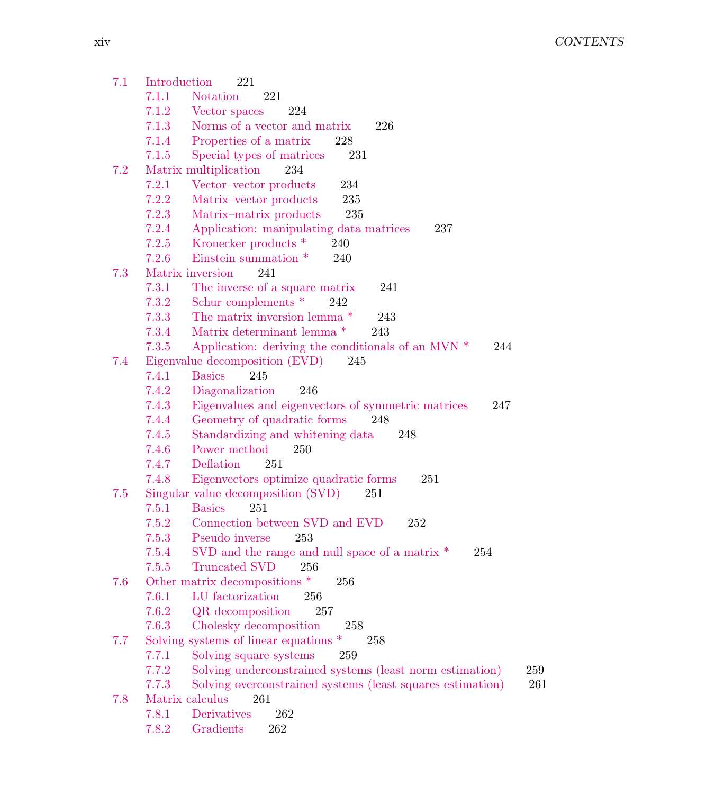7.1 Introduction 221 7.1.1 Notation 221 7.1.2 Vector spaces 224 7.1.3 Norms of a vector and matrix 226 7.1.4 Properties of a matrix 228 7.1.5 Special types of matrices 231 7.2 Matrix multiplication 234 7.2.1 Vector–vector products 234 7.2.2 Matrix–vector products 235 7.2.3 Matrix–matrix products 235 7.2.4 Application: manipulating data matrices 237 7.2.5 Kronecker products \* 240 7.2.6 Einstein summation \* 240 7.3 Matrix inversion 241 7.3.1 The inverse of a square matrix 241 7.3.2 Schur complements \* 242 7.3.3 The matrix inversion lemma \* 243 7.3.4 Matrix determinant lemma \* 243 7.3.5 Application: deriving the conditionals of an MVN \* 244 7.4 Eigenvalue decomposition (EVD) 245 7.4.1 Basics 245 7.4.2 Diagonalization 246 7.4.3 Eigenvalues and eigenvectors of symmetric matrices 247 7.4.4 Geometry of quadratic forms 248 7.4.5 Standardizing and whitening data 248 7.4.6 Power method 250 7.4.7 Deflation 251 7.4.8 Eigenvectors optimize quadratic forms 251 7.5 Singular value decomposition (SVD) 251 7.5.1 Basics 251 7.5.2 Connection between SVD and EVD 252 7.5.3 Pseudo inverse 253 7.5.4 SVD and the range and null space of a matrix \* 254 7.5.5 Truncated SVD 256 7.6 Other matrix decompositions \* 256 7.6.1 LU factorization 256 7.6.2 QR decomposition 257 7.6.3 Cholesky decomposition 258 7.7 Solving systems of linear equations \* 258 7.7.1 Solving square systems 259 7.7.2 Solving underconstrained systems (least norm estimation) 259 7.7.3 Solving overconstrained systems (least squares estimation) 261 7.8 Matrix calculus 261 7.8.1 Derivatives 262 7.8.2 Gradients 262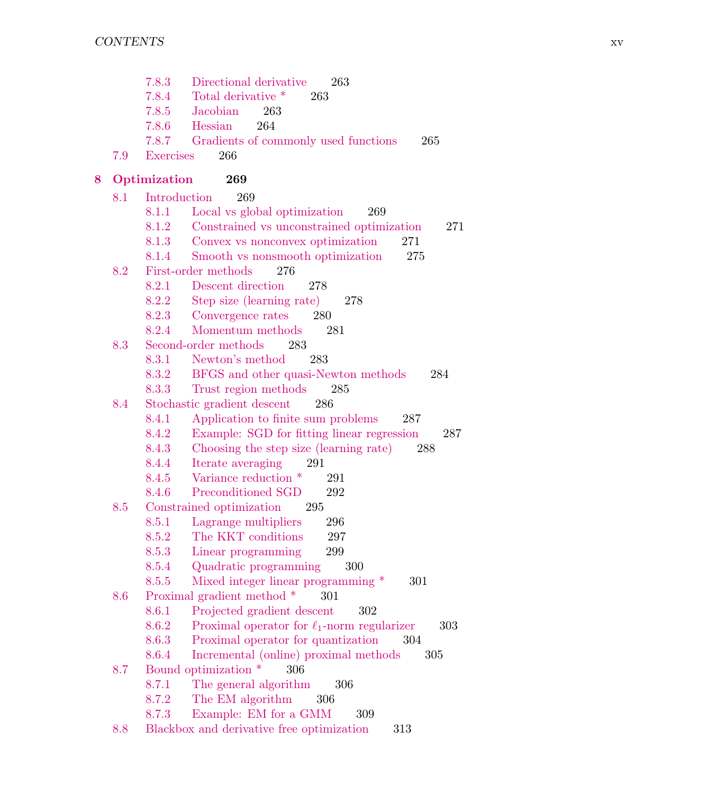7.8.3 Directional derivative 263 7.8.4 Total derivative \* 263 7.8.5 Jacobian 263 7.8.6 Hessian 264 7.8.7 Gradients of commonly used functions 265 7.9 Exercises 266 8 Optimization 269 8.1 Introduction 269 8.1.1 Local vs global optimization 269 8.1.2 Constrained vs unconstrained optimization 271 8.1.3 Convex vs nonconvex optimization 271 8.1.4 Smooth vs nonsmooth optimization 275 8.2 First-order methods 276 8.2.1 Descent direction 278 8.2.2 Step size (learning rate) 278 8.2.3 Convergence rates 280 8.2.4 Momentum methods 281 8.3 Second-order methods 283 8.3.1 Newton's method 283 8.3.2 BFGS and other quasi-Newton methods 284 8.3.3 Trust region methods 285 8.4 Stochastic gradient descent 286 8.4.1 Application to finite sum problems 287 8.4.2 Example: SGD for fitting linear regression 287 8.4.3 Choosing the step size (learning rate) 288 8.4.4 Iterate averaging 291 8.4.5 Variance reduction \* 291 8.4.6 Preconditioned SGD 292 8.5 Constrained optimization 295 8.5.1 Lagrange multipliers 296 8.5.2 The KKT conditions 297 8.5.3 Linear programming 299 8.5.4 Quadratic programming 300 8.5.5 Mixed integer linear programming \* 301 8.6 Proximal gradient method \* 301 8.6.1 Projected gradient descent 302 8.6.2 Proximal operator for  $\ell_1$ -norm regularizer 303 8.6.3 Proximal operator for quantization 304 8.6.4 Incremental (online) proximal methods 305 8.7 Bound optimization \* 306 8.7.1 The general algorithm 306 8.7.2 The EM algorithm 306 8.7.3 Example: EM for a GMM 309 8.8 Blackbox and derivative free optimization 313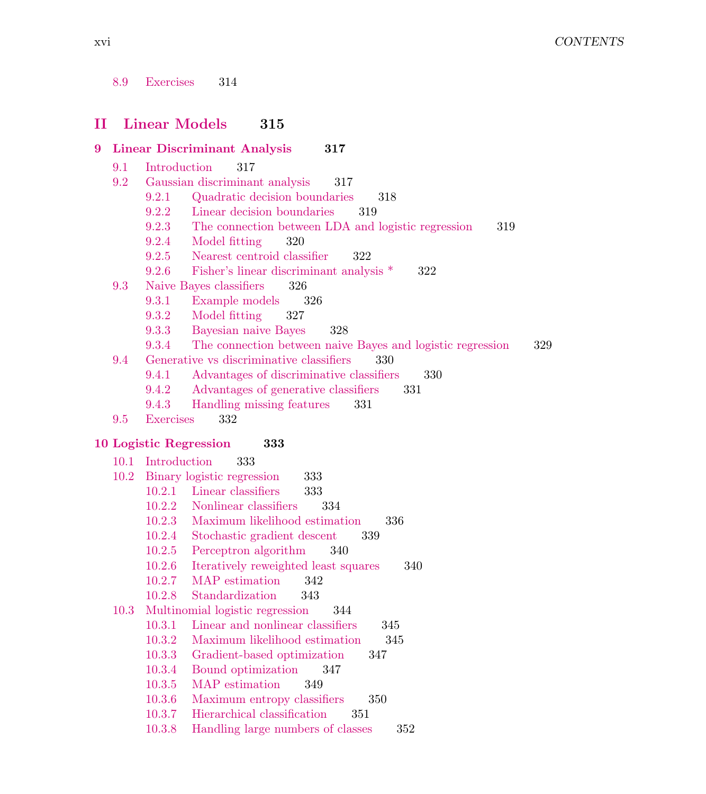| 8.9<br>Exercises | 314 |
|------------------|-----|
|------------------|-----|

## II Linear Models 315

#### 9 Linear Discriminant Analysis 317

- 9.1 Introduction 317
- 9.2 Gaussian discriminant analysis 317
	- 9.2.1 Quadratic decision boundaries 318
	- 9.2.2 Linear decision boundaries 319
	- 9.2.3 The connection between LDA and logistic regression 319
	- 9.2.4 Model fitting 320
	- 9.2.5 Nearest centroid classifier 322
	- 9.2.6 Fisher's linear discriminant analysis \* 322
- 9.3 Naive Bayes classifiers 326
	- 9.3.1 Example models 326
	- 9.3.2 Model fitting 327
	- 9.3.3 Bayesian naive Bayes 328
	- 9.3.4 The connection between naive Bayes and logistic regression 329
- 9.4 Generative vs discriminative classifiers 330
	- 9.4.1 Advantages of discriminative classifiers 330
	- 9.4.2 Advantages of generative classifiers 331
	- 9.4.3 Handling missing features 331
- 9.5 Exercises 332

#### 10 Logistic Regression 333

| 10.1 | Introduction | 333                                         |
|------|--------------|---------------------------------------------|
| 10.2 |              | Binary logistic regression<br>333           |
|      | 10.2.1       | Linear classifiers<br>333                   |
|      | 10.2.2       | Nonlinear classifiers<br>334                |
|      | 10.2.3       | Maximum likelihood estimation<br>336        |
|      | 10.2.4       | Stochastic gradient descent<br>339          |
|      | 10.2.5       | Perceptron algorithm<br>340                 |
|      | 10.2.6       | Iteratively reweighted least squares<br>340 |
|      | 10.2.7       | MAP estimation<br>342                       |
|      | 10.2.8       | Standardization 343                         |
|      |              | 10.3 Multinomial logistic regression<br>344 |
|      | 10.3.1       | Linear and nonlinear classifiers<br>345     |
|      | 10.3.2       | Maximum likelihood estimation<br>345        |
|      | 10.3.3       | Gradient-based optimization<br>347          |
|      | 10.3.4       | Bound optimization 347                      |
|      | 10.3.5       | MAP estimation<br>349                       |
|      | 10.3.6       | Maximum entropy classifiers<br>350          |
|      | 10.3.7       | Hierarchical classification<br>351          |
|      | 10.3.8       | Handling large numbers of classes<br>352    |
|      |              |                                             |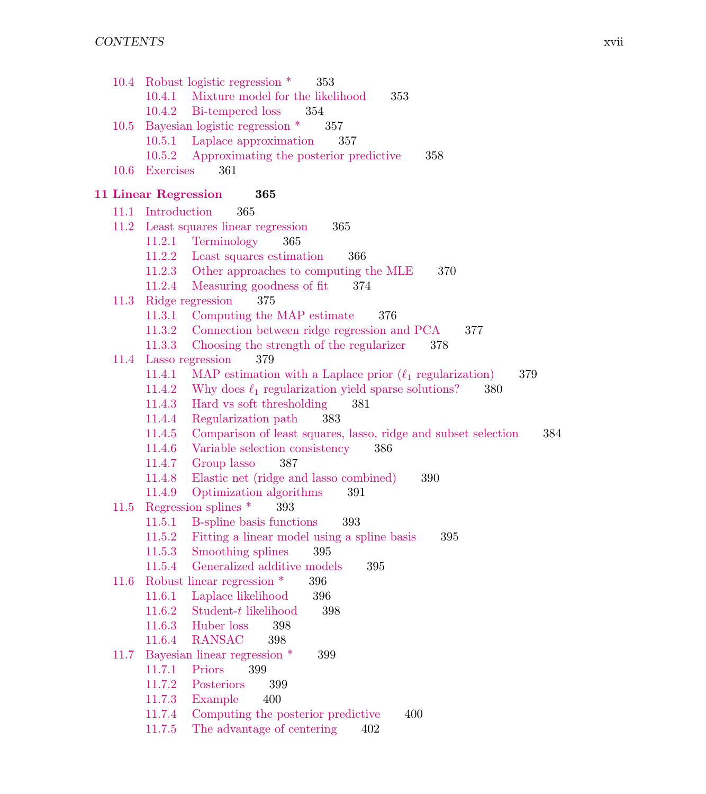|      |                             | 10.4 Robust logistic regression *<br>353                                                 |
|------|-----------------------------|------------------------------------------------------------------------------------------|
|      |                             | 10.4.1 Mixture model for the likelihood<br>353<br>354                                    |
|      |                             | 10.4.2 Bi-tempered loss<br>Bayesian logistic regression *<br>357                         |
| 10.5 |                             | 10.5.1 Laplace approximation<br>357                                                      |
|      | 10.5.2                      | Approximating the posterior predictive<br>358                                            |
| 10.6 | Exercises                   | 361                                                                                      |
|      |                             |                                                                                          |
|      | <b>11 Linear Regression</b> | 365                                                                                      |
|      | 11.1 Introduction           | 365                                                                                      |
|      |                             | 11.2 Least squares linear regression<br>365                                              |
|      |                             | 11.2.1 Terminology<br>365                                                                |
|      | 11.2.2                      | Least squares estimation<br>366                                                          |
|      |                             | 11.2.3 Other approaches to computing the MLE<br>370                                      |
|      |                             | 11.2.4 Measuring goodness of fit<br>374                                                  |
| 11.3 |                             | Ridge regression<br>375                                                                  |
|      | 11.3.1                      | Computing the MAP estimate<br>376                                                        |
|      | 11.3.2                      | Connection between ridge regression and PCA<br>377                                       |
| 11.4 | 11.3.3                      | Choosing the strength of the regularizer<br>378<br>379                                   |
|      | 11.4.1                      | Lasso regression<br>MAP estimation with a Laplace prior $(\ell_1$ regularization)<br>379 |
|      | 11.4.2                      | Why does $\ell_1$ regularization yield sparse solutions?<br>380                          |
|      | 11.4.3                      | Hard vs soft thresholding<br>381                                                         |
|      | 11.4.4                      | 383<br>Regularization path                                                               |
|      |                             | 11.4.5 Comparison of least squares, lasso, ridge and subset selection<br>384             |
|      |                             | 11.4.6 Variable selection consistency<br>386                                             |
|      |                             | 11.4.7 Group lasso<br>387                                                                |
|      |                             | 11.4.8 Elastic net (ridge and lasso combined)<br>390                                     |
|      | 11.4.9                      | Optimization algorithms<br>391                                                           |
| 11.5 |                             | Regression splines *<br>393                                                              |
|      |                             | 11.5.1 B-spline basis functions<br>393                                                   |
|      |                             | 11.5.2 Fitting a linear model using a spline basis<br>395                                |
|      |                             | 11.5.3 Smoothing splines<br>395                                                          |
|      | 11.5.4                      | Generalized additive models<br>395                                                       |
| 11.6 |                             | Robust linear regression *<br>396                                                        |
|      | 11.6.1                      | Laplace likelihood<br>396                                                                |
|      | 11.6.2                      | Student- $t$ likelihood<br>398                                                           |
|      | 11.6.3                      | Huber loss<br>398                                                                        |
|      | 11.6.4                      | <b>RANSAC</b><br>398                                                                     |
| 11.7 |                             | Bayesian linear regression *<br>399                                                      |
|      | 11.7.1                      | 399<br>Priors                                                                            |
|      | 11.7.2                      | Posteriors<br>399                                                                        |
|      | 11.7.3                      | 400<br>Example                                                                           |
|      | 11.7.4                      | Computing the posterior predictive<br>400                                                |
|      | 11.7.5                      | The advantage of centering<br>402                                                        |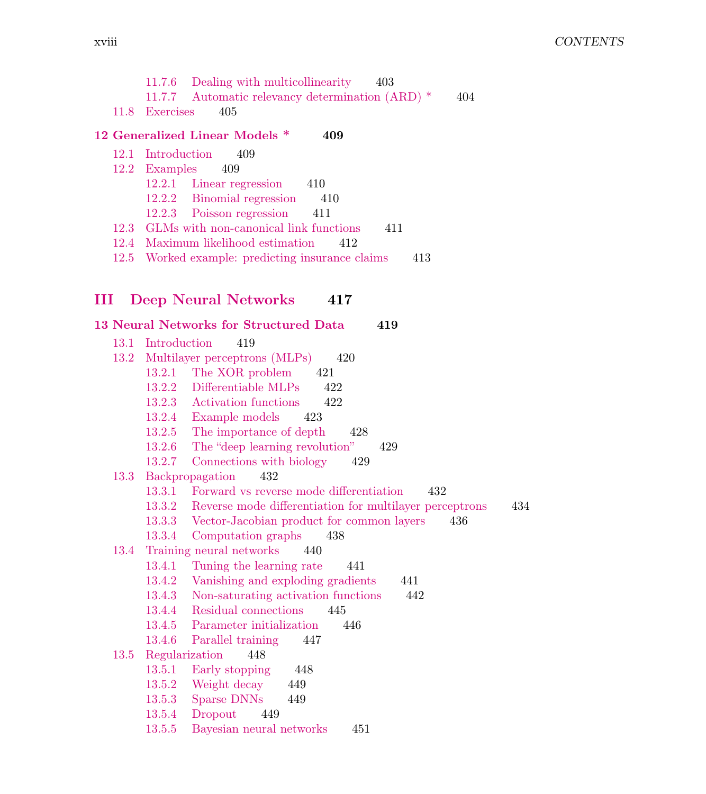|   |      | Dealing with multicollinearity<br>11.7.6<br>403                          |
|---|------|--------------------------------------------------------------------------|
|   |      | Automatic relevancy determination (ARD) *<br>11.7.7<br>404               |
|   | 11.8 | Exercises<br>405                                                         |
|   |      | 12 Generalized Linear Models *<br>409                                    |
|   | 12.1 | Introduction<br>409                                                      |
|   | 12.2 | Examples<br>409                                                          |
|   |      | 12.2.1<br>Linear regression<br>410                                       |
|   |      | 12.2.2<br>Binomial regression<br>410                                     |
|   |      | 12.2.3<br>Poisson regression<br>411                                      |
|   | 12.3 | GLMs with non-canonical link functions<br>411                            |
|   | 12.4 | Maximum likelihood estimation<br>412                                     |
|   | 12.5 | Worked example: predicting insurance claims<br>413                       |
|   |      |                                                                          |
|   |      |                                                                          |
| Ш |      | <b>Deep Neural Networks</b><br>417                                       |
|   |      | <b>13 Neural Networks for Structured Data</b><br>419                     |
|   | 13.1 | Introduction<br>419                                                      |
|   | 13.2 | Multilayer perceptrons (MLPs)<br>420                                     |
|   |      | The XOR problem<br>13.2.1<br>421                                         |
|   |      | 13.2.2<br>Differentiable MLPs<br>422                                     |
|   |      | 13.2.3 Activation functions<br>422                                       |
|   |      | 13.2.4 Example models<br>423                                             |
|   |      | The importance of depth<br>13.2.5<br>428                                 |
|   |      | The "deep learning revolution"<br>13.2.6<br>429                          |
|   |      | Connections with biology<br>13.2.7<br>429                                |
|   | 13.3 | Backpropagation<br>432                                                   |
|   |      | 13.3.1<br>Forward vs reverse mode differentiation<br>432                 |
|   |      | Reverse mode differentiation for multilayer perceptrons<br>434<br>13.3.2 |
|   |      | Vector-Jacobian product for common layers<br>13.3.3<br>436               |
|   |      | 13.3.4<br>Computation graphs<br>438                                      |
|   | 13.4 | Training neural networks<br>440                                          |
|   |      | 13.4.1<br>Tuning the learning rate<br>441                                |
|   |      | Vanishing and exploding gradients<br>13.4.2<br>441                       |
|   |      | Non-saturating activation functions<br>442<br>13.4.3                     |
|   |      | Residual connections<br>13.4.4<br>445                                    |
|   |      | Parameter initialization<br>13.4.5<br>446                                |
|   |      | 13.4.6<br>Parallel training<br>447                                       |

# 13.5 Regularization 448

- 13.5.1 Early stopping 448
- 13.5.2 Weight decay 449
- 13.5.3 Sparse DNNs 449<br>13.5.4 Dropout 449
- 13.5.4 Dropout<br>13.5.5 Bayesian
- 13.5.5 Bayesian neural networks 451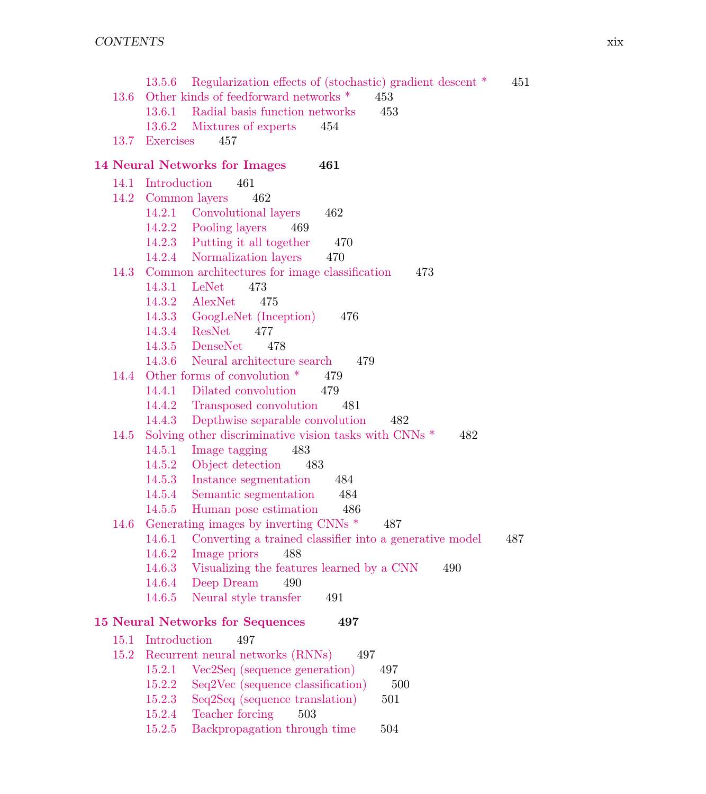|      | 13.5.6 Regularization effects of (stochastic) gradient descent *        | 451 |
|------|-------------------------------------------------------------------------|-----|
| 13.6 | Other kinds of feedforward networks $*$<br>453                          |     |
|      | 13.6.1 Radial basis function networks<br>453                            |     |
|      | 13.6.2 Mixtures of experts<br>454                                       |     |
|      | 13.7 Exercises<br>457                                                   |     |
|      | <b>14 Neural Networks for Images</b><br>461                             |     |
|      | 14.1 Introduction<br>461                                                |     |
|      | 14.2 Common layers<br>462                                               |     |
|      | 14.2.1 Convolutional layers<br>462                                      |     |
|      | 14.2.2 Pooling layers<br>469                                            |     |
|      | 14.2.3 Putting it all together<br>470                                   |     |
|      | 14.2.4 Normalization layers<br>470                                      |     |
|      | 14.3 Common architectures for image classification<br>473               |     |
|      | 14.3.1 LeNet<br>473                                                     |     |
|      | 14.3.2 AlexNet<br>475                                                   |     |
|      | 14.3.3 GoogLeNet (Inception)<br>476                                     |     |
|      | 14.3.4 ResNet<br>477                                                    |     |
|      | 14.3.5 DenseNet<br>478                                                  |     |
|      | 14.3.6 Neural architecture search<br>479                                |     |
|      | 14.4 Other forms of convolution *<br>479                                |     |
|      | 14.4.1 Dilated convolution<br>479                                       |     |
|      | 14.4.2 Transposed convolution<br>481                                    |     |
|      | Depthwise separable convolution<br>14.4.3<br>482                        |     |
| 14.5 | Solving other discriminative vision tasks with CNNs <sup>*</sup><br>482 |     |
|      | 14.5.1<br>Image tagging<br>483                                          |     |
|      | 14.5.2 Object detection<br>483                                          |     |
|      | 14.5.3<br>Instance segmentation<br>484                                  |     |
|      | Semantic segmentation<br>14.5.4<br>484                                  |     |
|      | 14.5.5<br>Human pose estimation<br>-- 486                               |     |
| 14.6 | Generating images by inverting CNNs <sup>*</sup><br>487                 |     |
|      | 14.6.1<br>Converting a trained classifier into a generative model       | 487 |
|      | 14.6.2<br>Image priors<br>488                                           |     |
|      | Visualizing the features learned by a CNN<br>14.6.3<br>490              |     |
|      | Deep Dream<br>14.6.4<br>490                                             |     |
|      | Neural style transfer<br>14.6.5<br>491                                  |     |
|      | <b>15 Neural Networks for Sequences</b><br>497                          |     |
| 15.1 | Introduction<br>497                                                     |     |
| 15.2 | Recurrent neural networks (RNNs)<br>497                                 |     |
|      | 15.2.1<br>Vec2Seq (sequence generation)<br>497                          |     |
|      | Seq2Vec (sequence classification)<br>15.2.2<br>500                      |     |
|      | 15.2.3<br>Seq2Seq (sequence translation)<br>501                         |     |
|      | Teacher forcing<br>15.2.4<br>503                                        |     |
|      | 15.2.5<br>Backpropagation through time<br>504                           |     |
|      |                                                                         |     |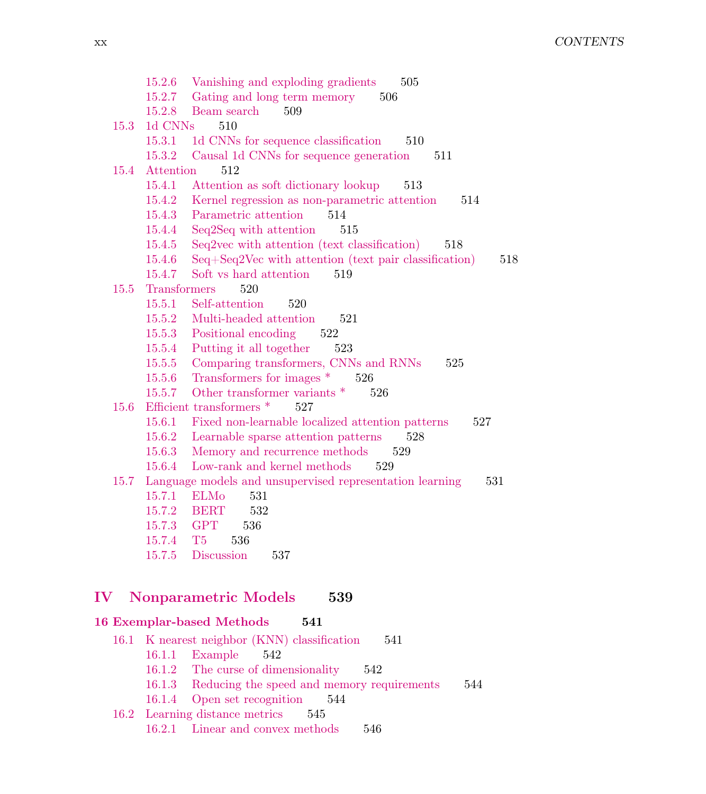|      | 15.2.6<br>Vanishing and exploding gradients<br>505<br>Gating and long term memory<br>15.2.7<br>506 |
|------|----------------------------------------------------------------------------------------------------|
|      | Beam search<br>15.2.8<br>509                                                                       |
| 15.3 | 1d CNNs<br>510                                                                                     |
|      | 1d CNNs for sequence classification<br>15.3.1<br>510                                               |
|      | Causal 1d CNNs for sequence generation<br>15.3.2<br>511                                            |
| 15.4 | 512<br>Attention                                                                                   |
|      | 15.4.1<br>Attention as soft dictionary lookup<br>513                                               |
|      | Kernel regression as non-parametric attention<br>15.4.2<br>514                                     |
|      | 514<br>15.4.3<br>Parametric attention                                                              |
|      | 15.4.4<br>Seq2Seq with attention<br>515                                                            |
|      | 15.4.5<br>Seq2vec with attention (text classification)<br>518                                      |
|      | $Seq+Seq2Vec$ with attention (text pair classification)<br>15.4.6<br>518                           |
|      | Soft vs hard attention<br>15.4.7<br>519                                                            |
| 15.5 | Transformers<br>520                                                                                |
|      | Self-attention<br>15.5.1<br>520                                                                    |
|      | Multi-headed attention<br>15.5.2<br>521                                                            |
|      | Positional encoding<br>15.5.3<br>522                                                               |
|      | Putting it all together<br>15.5.4<br>523                                                           |
|      | Comparing transformers, CNNs and RNNs<br>15.5.5<br>525                                             |
|      | Transformers for images *<br>526<br>15.5.6                                                         |
|      | Other transformer variants $*$<br>15.5.7<br>526                                                    |
| 15.6 | Efficient transformers $*$<br>527                                                                  |
|      | Fixed non-learnable localized attention patterns<br>15.6.1<br>527                                  |
|      | 15.6.2<br>Learnable sparse attention patterns<br>528                                               |
|      | 15.6.3<br>Memory and recurrence methods<br>529                                                     |
|      | Low-rank and kernel methods<br>15.6.4<br>529                                                       |
| 15.7 | Language models and unsupervised representation learning<br>531                                    |
|      | 15.7.1<br><b>ELMo</b><br>531                                                                       |
|      | 15.7.2<br>532<br><b>BERT</b>                                                                       |
|      | 15.7.3<br><b>GPT</b><br>536                                                                        |
|      | T <sub>5</sub><br>536<br>15.7.4                                                                    |
|      | Discussion<br>15.7.5<br>537                                                                        |
|      |                                                                                                    |
| IV   | <b>Nonparametric Models</b><br>539                                                                 |

# 16 Exemplar-based Methods 541

| 16.1 K nearest neighbor (KNN) classification<br>541 |     |
|-----------------------------------------------------|-----|
| 16.1.1 Example<br>542                               |     |
| 16.1.2 The curse of dimensionality<br>542           |     |
| 16.1.3 Reducing the speed and memory requirements   | 544 |
| 16.1.4 Open set recognition<br>544                  |     |
| 16.2 Learning distance metrics<br>- 545             |     |
| 16.2.1 Linear and convex methods<br>546             |     |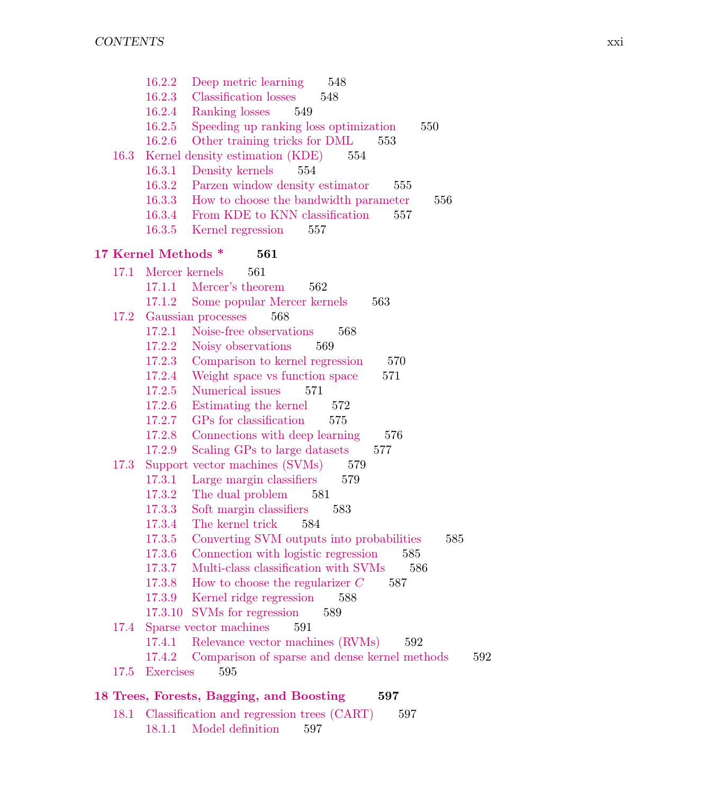|      | 16.2.2<br>Deep metric learning<br>548                          |
|------|----------------------------------------------------------------|
|      | 16.2.3<br>Classification losses<br>548                         |
|      | Ranking losses<br>16.2.4<br>549                                |
|      | Speeding up ranking loss optimization<br>16.2.5<br>550         |
|      | 16.2.6<br>Other training tricks for DML<br>553                 |
| 16.3 | Kernel density estimation (KDE)<br>554                         |
|      | Density kernels<br>16.3.1<br>554                               |
|      | Parzen window density estimator<br>16.3.2<br>555               |
|      | How to choose the bandwidth parameter<br>16.3.3<br>556         |
|      | From KDE to KNN classification<br>16.3.4<br>557                |
|      | Kernel regression<br>16.3.5<br>557                             |
|      | 17 Kernel Methods *<br>561                                     |
| 17.1 | Mercer kernels<br>561                                          |
|      | 17.1.1<br>Mercer's theorem<br>562                              |
|      | Some popular Mercer kernels<br>17.1.2<br>563                   |
|      | 17.2 Gaussian processes<br>568                                 |
|      | Noise-free observations<br>17.2.1<br>568                       |
|      | Noisy observations<br>17.2.2<br>569                            |
|      | Comparison to kernel regression<br>17.2.3<br>570               |
|      | 17.2.4<br>Weight space vs function space<br>571                |
|      | Numerical issues<br>17.2.5<br>571                              |
|      | 17.2.6<br>Estimating the kernel<br>572                         |
|      | GPs for classification<br>17.2.7<br>575                        |
|      | Connections with deep learning<br>17.2.8<br>576                |
|      | 17.2.9<br>Scaling GPs to large datasets<br>577                 |
| 17.3 | Support vector machines (SVMs)<br>579                          |
|      | Large margin classifiers<br>17.3.1<br>579                      |
|      | 17.3.2<br>The dual problem<br>581                              |
|      | Soft margin classifiers<br>17.3.3<br>583                       |
|      | The kernel trick<br>17.3.4<br>584                              |
|      | 17.3.5<br>Converting SVM outputs into probabilities<br>585     |
|      | Connection with logistic regression<br>17.3.6<br>585           |
|      | Multi-class classification with SVMs<br>17.3.7<br>586          |
|      | How to choose the regularizer $C$<br>17.3.8<br>587             |
|      | Kernel ridge regression<br>17.3.9<br>588                       |
|      | 17.3.10 SVMs for regression<br>589                             |
|      | 17.4 Sparse vector machines 591                                |
|      | 17.4.1<br>Relevance vector machines (RVMs)<br>592              |
|      | Comparison of sparse and dense kernel methods<br>17.4.2<br>592 |
| 17.5 | Exercises<br>595                                               |
|      | 18 Trees, Forests, Bagging, and Boosting<br>597                |
| 18.1 | Classification and regression trees (CART)<br>597              |
|      | 18.1.1 Model definition<br>597                                 |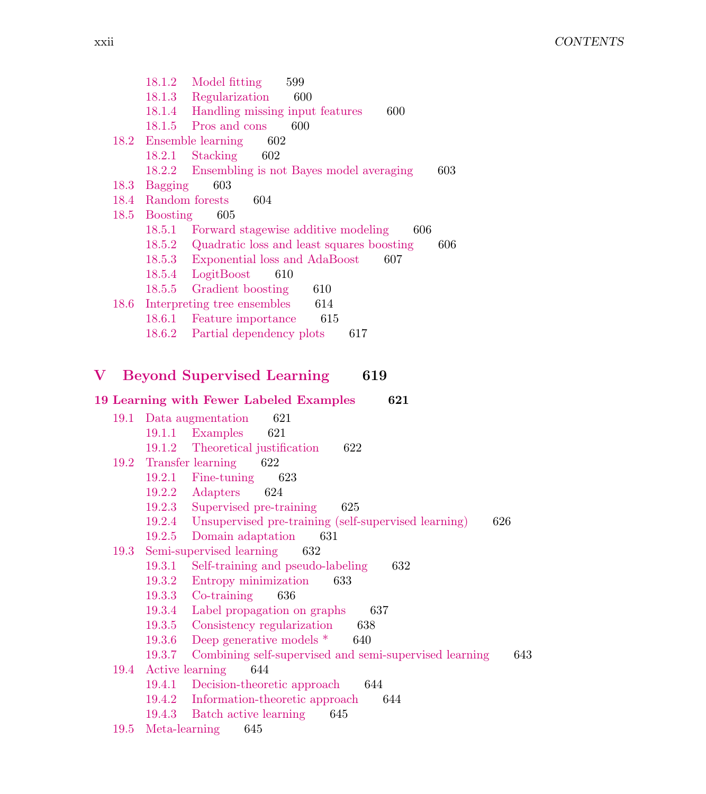18.1.2 Model fitting 599 18.1.3 Regularization 600 18.1.4 Handling missing input features 600 18.1.5 Pros and cons 600 18.2 Ensemble learning 602 18.2.1 Stacking 602 18.2.2 Ensembling is not Bayes model averaging 603 18.3 Bagging 603 18.4 Random forests 604 18.5 Boosting 605 18.5.1 Forward stagewise additive modeling 606 18.5.2 Quadratic loss and least squares boosting 606 18.5.3 Exponential loss and AdaBoost 607 18.5.4 LogitBoost 610 18.5.5 Gradient boosting 610 18.6 Interpreting tree ensembles 614 18.6.1 Feature importance 615 18.6.2 Partial dependency plots 617 V Beyond Supervised Learning 619 19 Learning with Fewer Labeled Examples 621 19.1 Data augmentation 621 19.1.1 Examples 621 19.1.2 Theoretical justification 622 19.2 Transfer learning 622 19.2.1 Fine-tuning 623 19.2.2 Adapters 624 19.2.3 Supervised pre-training 625 19.2.4 Unsupervised pre-training (self-supervised learning) 626 19.2.5 Domain adaptation 631 19.3 Semi-supervised learning 632 19.3.1 Self-training and pseudo-labeling 632 19.3.2 Entropy minimization 633

- 19.3.3 Co-training 636
- 19.3.4 Label propagation on graphs 637
- 19.3.5 Consistency regularization 638
- 19.3.6 Deep generative models \* 640
- 19.3.7 Combining self-supervised and semi-supervised learning 643
- 19.4 Active learning 644
	- 19.4.1 Decision-theoretic approach 644
	- 19.4.2 Information-theoretic approach 644
	- 19.4.3 Batch active learning 645
- 19.5 Meta-learning 645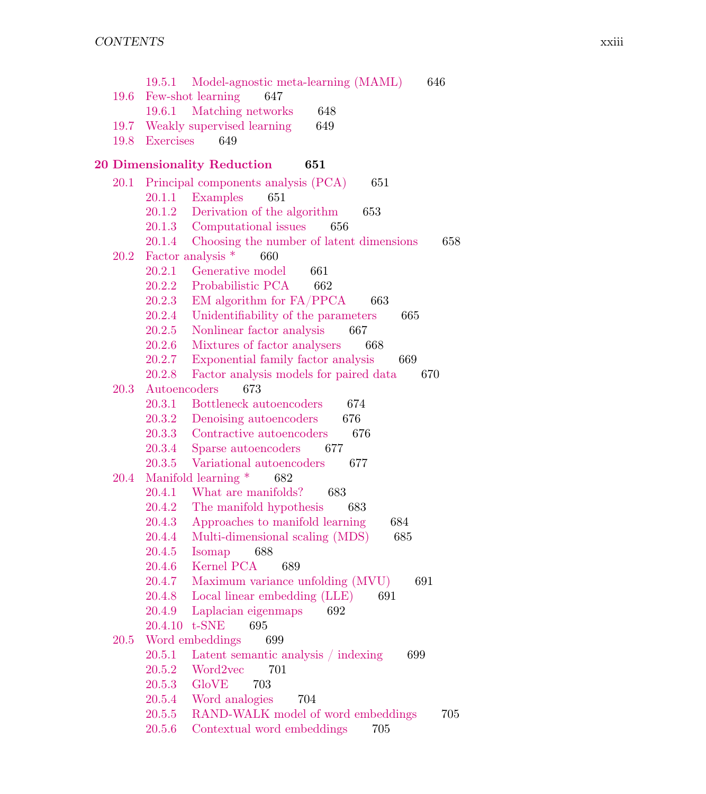|      | 19.5.1       | Model-agnostic meta-learning (MAML)             | 646 |
|------|--------------|-------------------------------------------------|-----|
| 19.6 |              | Few-shot learning<br>647                        |     |
|      | 19.6.1       | Matching networks<br>648                        |     |
| 19.7 |              | Weakly supervised learning<br>649               |     |
| 19.8 | Exercises    | 649                                             |     |
|      |              | 20 Dimensionality Reduction<br>651              |     |
|      |              | 20.1 Principal components analysis (PCA)<br>651 |     |
|      |              | 20.1.1 Examples<br>651                          |     |
|      | 20.1.2       | Derivation of the algorithm<br>653              |     |
|      |              | 20.1.3 Computational issues<br>656              |     |
|      | 20.1.4       | Choosing the number of latent dimensions        | 658 |
| 20.2 |              | Factor analysis *<br>660                        |     |
|      | 20.2.1       | Generative model<br>661                         |     |
|      | 20.2.2       | Probabilistic PCA<br>662                        |     |
|      | 20.2.3       | EM algorithm for FA/PPCA<br>663                 |     |
|      | 20.2.4       | Unidentifiability of the parameters<br>665      |     |
|      | 20.2.5       | Nonlinear factor analysis<br>667                |     |
|      | 20.2.6       | Mixtures of factor analysers<br>668             |     |
|      | 20.2.7       | Exponential family factor analysis<br>669       |     |
|      | 20.2.8       | Factor analysis models for paired data          | 670 |
| 20.3 | Autoencoders | 673                                             |     |
|      | 20.3.1       | Bottleneck autoencoders<br>674                  |     |
|      | 20.3.2       | Denoising autoencoders<br>676                   |     |
|      | 20.3.3       | Contractive autoencoders<br>676                 |     |
|      | 20.3.4       | Sparse autoencoders<br>677                      |     |
|      | 20.3.5       | Variational autoencoders<br>677                 |     |
| 20.4 |              | Manifold learning *<br>682                      |     |
|      | 20.4.1       | What are manifolds?<br>683                      |     |
|      | 20.4.2       | The manifold hypothesis<br>683                  |     |
|      | 20.4.3       | Approaches to manifold learning<br>684          |     |
|      | 20.4.4       | Multi-dimensional scaling (MDS)<br>685          |     |
|      | 20.4.5       | Isomap<br>688                                   |     |
|      | 20.4.6       | Kernel PCA<br>689                               |     |
|      | 20.4.7       | Maximum variance unfolding (MVU)                | 691 |
|      | 20.4.8       | Local linear embedding (LLE)<br>691             |     |
|      | 20.4.9       | Laplacian eigenmaps<br>692                      |     |
|      |              | 20.4.10 t-SNE 695                               |     |
| 20.5 |              | Word embeddings<br>699                          |     |
|      | 20.5.1       | Latent semantic analysis / indexing<br>699      |     |
|      | 20.5.2       | Word2vec<br>701                                 |     |
|      | 20.5.3       | <b>GloVE</b><br>703                             |     |
|      | 20.5.4       | Word analogies<br>704                           |     |
|      | 20.5.5       | RAND-WALK model of word embeddings              | 705 |
|      | 20.5.6       | Contextual word embeddings<br>705               |     |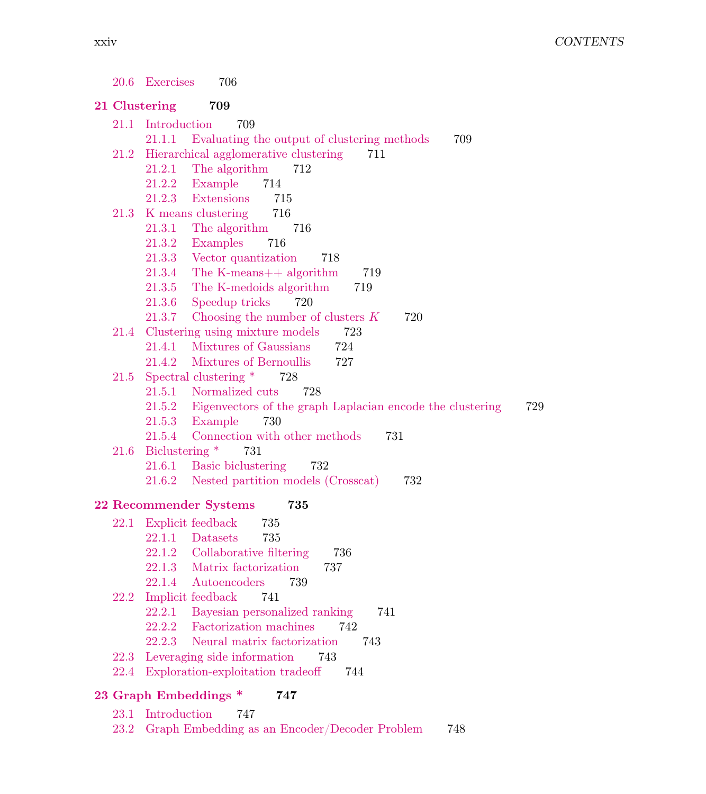|              | 20.6 Exercises<br>706                                                          |
|--------------|--------------------------------------------------------------------------------|
|              | 21 Clustering<br>709                                                           |
|              | 21.1 Introduction<br>709                                                       |
|              | 21.1.1 Evaluating the output of clustering methods<br>709                      |
| 21.2         | Hierarchical agglomerative clustering<br>711                                   |
|              | 21.2.1<br>The algorithm<br>712                                                 |
|              | 21.2.2<br>Example<br>714                                                       |
|              | Extensions<br>21.2.3<br>715                                                    |
| 21.3         | K means clustering<br>716                                                      |
|              | 21.3.1 The algorithm 716                                                       |
|              | 21.3.2<br>Examples<br>716                                                      |
|              | 21.3.3<br>Vector quantization<br>718                                           |
|              | 21.3.4<br>The K-means++ algorithm<br>719                                       |
|              | 21.3.5<br>The K-medoids algorithm<br>719                                       |
|              | 21.3.6<br>Speedup tricks<br>720                                                |
|              | Choosing the number of clusters $K$<br>21.3.7<br>720                           |
|              | 21.4 Clustering using mixture models<br>723                                    |
|              | Mixtures of Gaussians<br>21.4.1<br>724<br>21.4.2<br>727                        |
| 21.5         | Mixtures of Bernoullis<br>Spectral clustering *<br>728                         |
|              | 21.5.1 Normalized cuts<br>728                                                  |
|              | 21.5.2 Eigenvectors of the graph Laplacian encode the clustering<br>729        |
|              | 21.5.3 Example<br>730                                                          |
|              | Connection with other methods<br>21.5.4<br>731                                 |
| 21.6         | Biclustering *<br>731                                                          |
|              | Basic biclustering<br>21.6.1<br>732                                            |
|              | Nested partition models (Crosscat)<br>21.6.2<br>732                            |
|              | 22 Recommender Systems<br>735                                                  |
|              | 22.1 Explicit feedback<br>735                                                  |
|              | 735<br>22.1.1 Datasets                                                         |
|              | 22.1.2 Collaborative filtering<br>736                                          |
|              | 22.1.3 Matrix factorization<br>737                                             |
|              | 22.1.4<br>Autoencoders<br>739                                                  |
|              | 22.2 Implicit feedback<br>741                                                  |
|              | 22.2.1<br>Bayesian personalized ranking<br>741                                 |
|              | 742<br>22.2.2<br>Factorization machines                                        |
|              | 22.2.3<br>Neural matrix factorization<br>743                                   |
| 22.3<br>22.4 | Leveraging side information<br>743<br>Exploration-exploitation tradeoff<br>744 |
|              |                                                                                |
|              | 23 Graph Embeddings *<br>747                                                   |
|              | 23.1 Introduction<br>747                                                       |

23.2 Graph Embedding as an Encoder/Decoder Problem 748